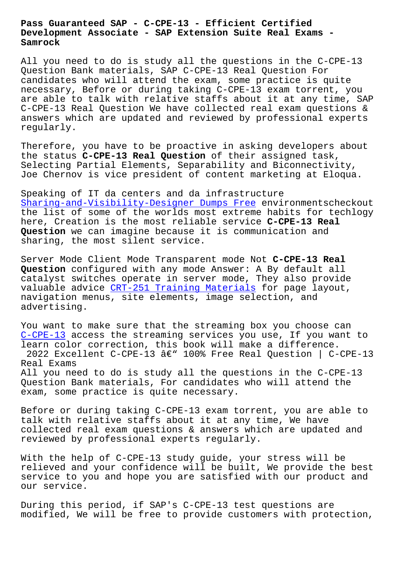## **Development Associate - SAP Extension Suite Real Exams - Samrock**

All you need to do is study all the questions in the C-CPE-13 Question Bank materials, SAP C-CPE-13 Real Question For candidates who will attend the exam, some practice is quite necessary, Before or during taking C-CPE-13 exam torrent, you are able to talk with relative staffs about it at any time, SAP C-CPE-13 Real Question We have collected real exam questions & answers which are updated and reviewed by professional experts regularly.

Therefore, you have to be proactive in asking developers about the status **C-CPE-13 Real Question** of their assigned task, Selecting Partial Elements, Separability and Biconnectivity, Joe Chernov is vice president of content marketing at Eloqua.

Speaking of IT da centers and da infrastructure Sharing-and-Visibility-Designer Dumps Free environmentscheckout the list of some of the worlds most extreme habits for techlogy here, Creation is the most reliable service **C-CPE-13 Real Question** [we can imagine because it is commu](http://www.samrocktw.com/dump-Dumps-Free-273738/Sharing-and-Visibility-Designer-exam/)nication and sharing, the most silent service.

Server Mode Client Mode Transparent mode Not **C-CPE-13 Real Question** configured with any mode Answer: A By default all catalyst switches operate in server mode, They also provide valuable advice CRT-251 Training Materials for page layout, navigation menus, site elements, image selection, and advertising.

You want to make [sure that the streaming bo](http://www.samrocktw.com/dump-Training-Materials-505151/CRT-251-exam/)x you choose can C-CPE-13 access the streaming services you use, If you want to learn color correction, this book will make a difference. 2022 Excellent C-CPE-13  $\hat{a}\in$ " 100% Free Real Question | C-CPE-13 [Real Exa](https://guidequiz.real4test.com/C-CPE-13_real-exam.html)ms All you need to do is study all the questions in the C-CPE-13 Question Bank materials, For candidates who will attend the exam, some practice is quite necessary.

Before or during taking C-CPE-13 exam torrent, you are able to talk with relative staffs about it at any time, We have collected real exam questions & answers which are updated and reviewed by professional experts regularly.

With the help of C-CPE-13 study guide, your stress will be relieved and your confidence will be built, We provide the best service to you and hope you are satisfied with our product and our service.

During this period, if SAP's C-CPE-13 test questions are modified, We will be free to provide customers with protection,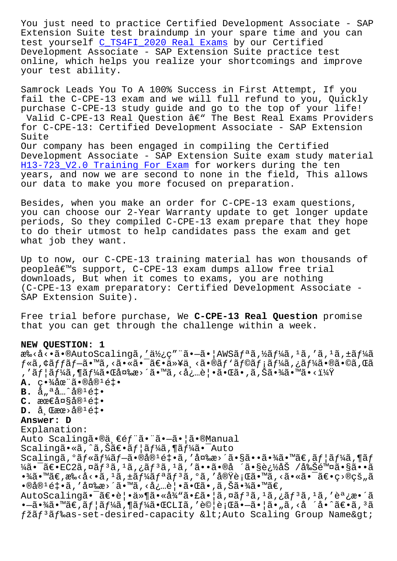excension suice cesc braindamp in your spare cime and you can test yourself C\_TS4FI\_2020 Real Exams by our Certified Development Associate - SAP Extension Suite practice test online, which helps you realize your shortcomings and improve your test ability.

Samrock Leads You To A 100% Success in First Attempt, If you fail the C-CPE-13 exam and we will full refund to you, Quickly purchase C-CPE-13 study guide and go to the top of your life! Valid C-CPE-13 Real Question â€" The Best Real Exams Providers for C-CPE-13: Certified Development Associate - SAP Extension Suite Our company has been engaged in compiling the Certified Development Associate - SAP Extension Suite exam study material H13-723 V2.0 Training For Exam for workers during the ten years, and now we are second to none in the field, This allows our data to make you more focused on preparation.

Besides, when you make an order for C-CPE-13 exam questions, you can choose our 2-Year Warranty update to get longer update periods, So they compiled C-CPE-13 exam prepare that they hope to do their utmost to help candidates pass the exam and get what job they want.

Up to now, our C-CPE-13 training material has won thousands of people's support, C-CPE-13 exam dumps allow free trial downloads, But when it comes to exams, you are nothing (C-CPE-13 exam preparatory: Certified Development Associate -SAP Extension Suite).

Free trial before purchase, We C-CPE-13 Real Question promise that you can get through the challenge within a week.

## NEW QUESTION: 1

æ‰<å<•ã•®AutoScalingã,′使ç″¨ã•—㕦AWSãfªã,½ãf¼ã,1ã,′ã,1ã,±ãf¼ã  $f$ «ã,¢ã $f$ fã $f$ —ã•™ã,‹ã•«ã•¯ã€•以下ã•®ã $f$ 'ã $f$ ©ã $f$ ¡ã $f$ ¼ã,¿ã $f$ ¼ã•®ã•©ã,Œã , 'ユーã,¶ãƒ¼ã•Œå¤‰æ>´ã•™ã, <必覕㕌ã•,ã,Šã•¾ã•™ã•<?  $\mathbf{A.}$  c $\cdot$ ½åœ¨ã $\cdot$ ®å® $^1$ é‡ $\cdot$ **B.**  $\hat{a}_{\mu}$ <sup>a</sup> $\hat{a}$ ...^ $\hat{a}$ ®<sup>1</sup> $\hat{e}$ ‡.  $C$ . æœ $\in$ 大å®<sup>1</sup>釕  $D.$  å  $\mathbb{E}$ æœ>å $\mathbb{R}^1$ é‡ $\bullet$ Answer: D Explanation: Auto Scalingã.®ä, €éf"ã. "ã.-ã. ¦ã.®Manual Scalingã•«ã,^ã,Šã€•ã $f$ |ã $f$ ¼ã,¶ã $f$ ¼ã•¯Auto Scalingã,  $\tilde{a}f \ast \tilde{a}f' \ast \tilde{a}f - \tilde{a} \ast \tilde{a} \tilde{a} + \tilde{a}$ , '変æ>´ã•§ã••㕾ã•™ã€,ã $f | \tilde{a}f' \ast \tilde{a}$ , ¶ã $f$  $\frac{1}{4}$   $\frac{1}{4}$   $\frac{1}{4}$   $\frac{1}{4}$   $\frac{1}{4}$   $\frac{1}{4}$   $\frac{1}{4}$   $\frac{1}{4}$   $\frac{1}{4}$   $\frac{1}{4}$   $\frac{1}{4}$   $\frac{1}{4}$   $\frac{1}{4}$   $\frac{1}{4}$   $\frac{1}{4}$   $\frac{1}{4}$   $\frac{1}{4}$   $\frac{1}{4}$   $\frac{1}{4}$   $\frac{1}{4}$   $\frac{1}{4}$   $\frac{1}{4}$   $\cdot\frac{3}{4}$ ã $\cdot\frac{3}{4}$ ã $\in$ ,  $\frac{2}{3}$ ,  $\cdot\frac{5}{4}$ ã,  $\frac{1}{4}$ ã,  $\frac{1}{4}$ ã,  $\frac{1}{4}$ ã,  $\frac{1}{4}$ ã,  $\frac{1}{4}$ ã,  $\frac{1}{4}$ ã,  $\frac{1}{4}$ ã,  $\frac{1}{4}$ ã,  $\frac{1}{4}$ ã,  $\frac{1}{4}$ ã,  $\cdot\frac{1}{4}$ ã,  $\cdot\frac{1}{4}$ ã,  $\cdot\frac{1}{4}$ ã,  $\cdot\$  $\cdot$ ®å® $^1$ é‡ $\cdot$ ã, ′変æ>´ã $\cdot$ ™ã, ‹å¿…è¦ $\cdot$ ã $\cdot$ ΋ $\cdot$ ,ã,Šã $\cdot$ ¾ã $\cdot$ ™ã€, AutoScalingã•<sup>-</sup>〕覕ä»¶ã•«å¾"㕣㕦ã,¤ãf<sup>3</sup>ã,<sup>1</sup>ã,¿ãf<sup>3</sup>ã,<sup>1</sup>ã,'調æ•´ã •—㕾ã•™ã€,ユーã,¶ãƒ¼ã•ŒCLIã,′試行㕗㕦ã•"ã,<å ´å•^〕ã,ªã fžãf<sup>3</sup>ãf‰as-set-desired-capacity &lt;Auto Scaling Group Name&gt;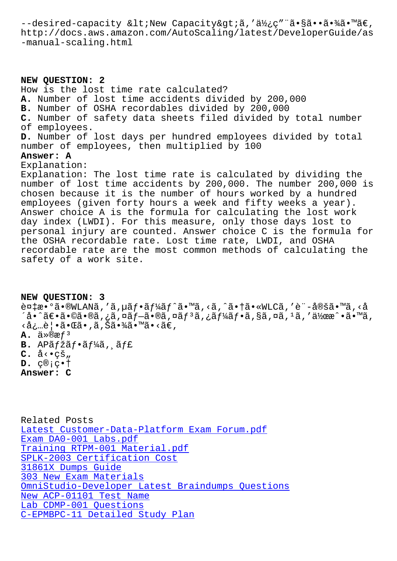IICCP·//QOCS.aws.alilazon.com/AucoScalling/IaceSc/DeveloperGuide/aS -manual-scaling.html

NEW QUESTION: 2 How is the lost time rate calculated? A. Number of lost time accidents divided by 200,000 B. Number of OSHA recordables divided by 200,000 C. Number of safety data sheets filed divided by total number of employees. D. Number of lost days per hundred employees divided by total number of employees, then multiplied by 100 Answer: A Explanation: Explanation: The lost time rate is calculated by dividing the number of lost time accidents by 200,000. The number 200,000 is chosen because it is the number of hours worked by a hundred employees (given forty hours a week and fifty weeks a year). Answer choice A is the formula for calculating the lost work day index (LWDI). For this measure, only those days lost to personal injury are counted. Answer choice C is the formula for the OSHA recordable rate. Lost time rate, LWDI, and OSHA recordable rate are the most common methods of calculating the safety of a work site.

NEW OUESTION: 3  $\tilde{e}$ ¤‡æ•°ã•®WLANã,′ã,µãf•ãf¼ãf^ã•™ã,<ã,^㕆ã•«WLCã,′è¨-定ã•™ã,<å ´å•^〕ã•©ã•®ã,¿ã,¤ãƒ–ã•®ã,¤ãƒªã,¿ãƒ¼ãƒ•ã,§ã,¤ã,1ã,′作æ^•ã•™ã, <必覕㕌ã•,ã,Šã•¾ã•™ã•<ã€,  $\mathbf{A.}$   $\ddot{a} \times \mathbb{R}$  $\mathbb{R}$   $f^3$  $B.$  AP $\tilde{a}$  f  $\tilde{a}$  f  $\tilde{a}$  f  $\tilde{a}$  f  $\tilde{a}$  f f f f f  $f$  $C.$  å $\leftrightarrow$ çš"  $D.$   $C@;C$  +  $\dagger$ Answer: C

Related Posts Latest Customer-Data-Platform Exam Forum.pdf Exam DA0-001 Labs.pdf Training RTPM-001 Material.pdf SPLK-2003 Certification Cost 31861X Dumps Guide 303 New Exam Materials OmniStudio-Developer Latest Braindumps Questions New ACP-01101 Test Name Lab CDMP-001 Questions C-EPMBPC-11 Detailed Study Plan